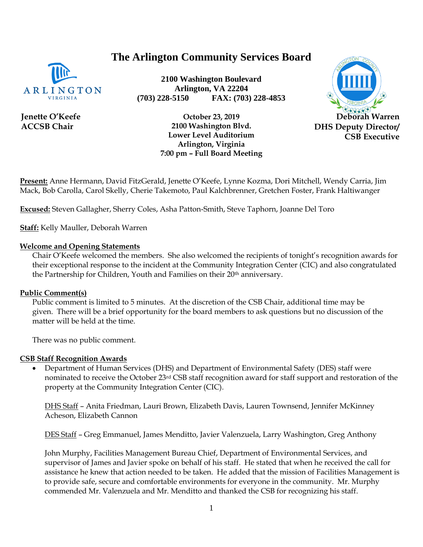# **The Arlington Community Services Board**



**Jenette O'Keefe ACCSB Chair**

**2100 Washington Boulevard Arlington, VA 22204 (703) 228-5150 FAX: (703) 228-4853**



**October 23, 2019 2100 Washington Blvd. Lower Level Auditorium Arlington, Virginia 7:00 pm – Full Board Meeting**

**Present:** Anne Hermann, David FitzGerald, Jenette O'Keefe, Lynne Kozma, Dori Mitchell, Wendy Carria, Jim Mack, Bob Carolla, Carol Skelly, Cherie Takemoto, Paul Kalchbrenner, Gretchen Foster, Frank Haltiwanger

**Excused:** Steven Gallagher, Sherry Coles, Asha Patton-Smith, Steve Taphorn, Joanne Del Toro

**Staff:** Kelly Mauller, Deborah Warren

#### **Welcome and Opening Statements**

Chair O'Keefe welcomed the members. She also welcomed the recipients of tonight's recognition awards for their exceptional response to the incident at the Community Integration Center (CIC) and also congratulated the Partnership for Children, Youth and Families on their 20th anniversary.

#### **Public Comment(s)**

Public comment is limited to 5 minutes. At the discretion of the CSB Chair, additional time may be given. There will be a brief opportunity for the board members to ask questions [but](http://but.no/) no discussion of the matter will be held at the time.

There was no public comment.

#### **CSB Staff Recognition Awards**

• Department of Human Services (DHS) and Department of Environmental Safety (DES) staff were nominated to receive the October 23rd CSB staff recognition award for staff support and restoration of the property at the Community Integration Center (CIC).

DHS Staff – Anita Friedman, Lauri Brown, Elizabeth Davis, Lauren Townsend, Jennifer McKinney Acheson, Elizabeth Cannon

DES Staff – Greg Emmanuel, James Menditto, Javier Valenzuela, Larry Washington, Greg Anthony

John Murphy, Facilities Management Bureau Chief, Department of Environmental Services, and supervisor of James and Javier spoke on behalf of his staff. He stated that when he received the call for assistance he knew that action needed to be taken. He added that the mission of Facilities Management is to provide safe, secure and comfortable environments for everyone in the community. Mr. Murphy commended Mr. Valenzuela and Mr. Menditto and thanked the CSB for recognizing his staff.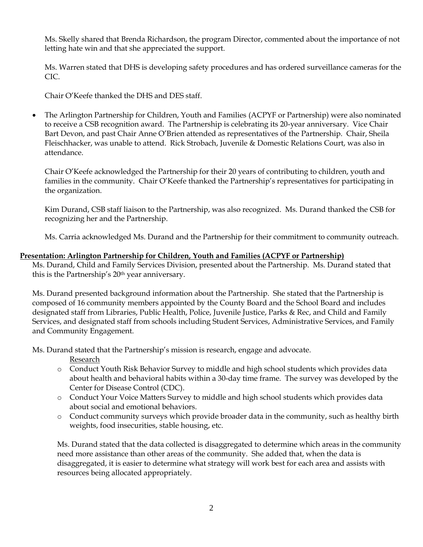Ms. Skelly shared that Brenda Richardson, the program Director, commented about the importance of not letting hate win and that she appreciated the support.

Ms. Warren stated that DHS is developing safety procedures and has ordered surveillance cameras for the CIC.

Chair O'Keefe thanked the DHS and DES staff.

• The Arlington Partnership for Children, Youth and Families (ACPYF or Partnership) were also nominated to receive a CSB recognition award. The Partnership is celebrating its 20-year anniversary. Vice Chair Bart Devon, and past Chair Anne O'Brien attended as representatives of the Partnership. Chair, Sheila Fleischhacker, was unable to attend. Rick Strobach, Juvenile & Domestic Relations Court, was also in attendance.

Chair O'Keefe acknowledged the Partnership for their 20 years of contributing to children, youth and families in the community. Chair O'Keefe thanked the Partnership's representatives for participating in the organization.

Kim Durand, CSB staff liaison to the Partnership, was also recognized. Ms. Durand thanked the CSB for recognizing her and the Partnership.

Ms. Carria acknowledged Ms. Durand and the Partnership for their commitment to community outreach.

#### **Presentation: Arlington Partnership for Children, Youth and Families (ACPYF or Partnership)**

Ms. Durand, Child and Family Services Division, presented about the Partnership. Ms. Durand stated that this is the Partnership's 20th year anniversary.

Ms. Durand presented background information about the Partnership. She stated that the Partnership is composed of 16 community members appointed by the County Board and the School Board and includes designated staff from Libraries, Public Health, Police, Juvenile Justice, Parks & Rec, and Child and Family Services, and designated staff from schools including Student Services, Administrative Services, and Family and Community Engagement.

Ms. Durand stated that the Partnership's mission is research, engage and advocate.

Research

- o Conduct Youth Risk Behavior Survey to middle and high school students which provides data about health and behavioral habits within a 30-day time frame. The survey was developed by the Center for Disease Control (CDC).
- o Conduct Your Voice Matters Survey to middle and high school students which provides data about social and emotional behaviors.
- o Conduct community surveys which provide broader data in the community, such as healthy birth weights, food insecurities, stable housing, etc.

Ms. Durand stated that the data collected is disaggregated to determine which areas in the community need more assistance than other areas of the community. She added that, when the data is disaggregated, it is easier to determine what strategy will work best for each area and assists with resources being allocated appropriately.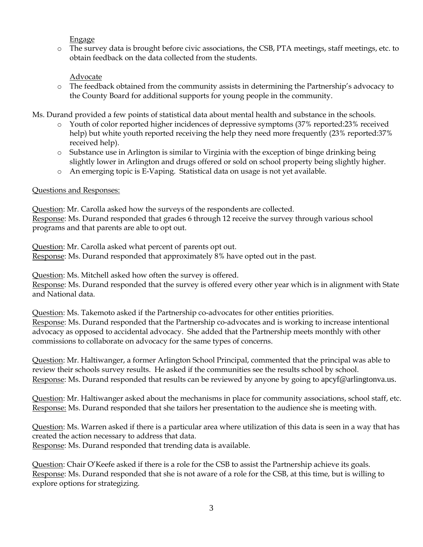Engage

o The survey data is brought before civic associations, the CSB, PTA meetings, staff meetings, etc. to obtain feedback on the data collected from the students.

### Advocate

o The feedback obtained from the community assists in determining the Partnership's advocacy to the County Board for additional supports for young people in the community.

Ms. Durand provided a few points of statistical data about mental health and substance in the schools.

- o Youth of color reported higher incidences of depressive symptoms (37% reported:23% received help) but white youth reported receiving the help they need more frequently (23% reported:37% received help).
- $\circ$  Substance use in Arlington is similar to Virginia with the exception of binge drinking being slightly lower in Arlington and drugs offered or sold on school property being slightly higher.
- o An emerging topic is E-Vaping. Statistical data on usage is not yet available.

### Questions and Responses:

Question: Mr. Carolla asked how the surveys of the respondents are collected. Response: Ms. Durand responded that grades 6 through 12 receive the survey through various school programs and that parents are able to opt out.

Question: Mr. Carolla asked what percent of parents opt out. Response: Ms. Durand responded that approximately 8% have opted out in the past.

Question: Ms. Mitchell asked how often the survey is offered.

Response: Ms. Durand responded that the survey is offered every other year which is in alignment with State and National data.

Question: Ms. Takemoto asked if the Partnership co-advocates for other entities priorities. Response: Ms. Durand responded that the Partnership co-advocates and is working to increase intentional advocacy as opposed to accidental advocacy. She added that the Partnership meets monthly with other commissions to collaborate on advocacy for the same types of concerns.

Question: Mr. Haltiwanger, a former Arlington School Principal, commented that the principal was able to review their schools survey results. He asked if the communities see the results school by school. Response: Ms. Durand responded that results can be reviewed by anyone by going to [apcyf@arlingtonva.us.](mailto:apcyf@arlingtonva.us)

Question: Mr. Haltiwanger asked about the mechanisms in place for community associations, school staff, etc. Response: Ms. Durand responded that she tailors her presentation to the audience she is meeting with.

Question: Ms. Warren asked if there is a particular area where utilization of this data is seen in a way that has created the action necessary to address that data. Response: Ms. Durand responded that trending data is available.

Question: Chair O'Keefe asked if there is a role for the CSB to assist the Partnership achieve its goals. Response: Ms. Durand responded that she is not aware of a role for the CSB, at this time, but is willing to explore options for strategizing.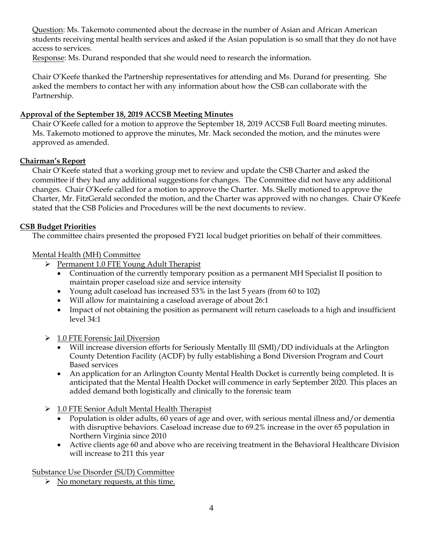Question: Ms. Takemoto commented about the decrease in the number of Asian and African American students receiving mental health services and asked if the Asian population is so small that they do not have access to services.

Response: Ms. Durand responded that she would need to research the information.

Chair O'Keefe thanked the Partnership representatives for attending and Ms. Durand for presenting. She asked the members to contact her with any information about how the CSB can collaborate with the Partnership.

### **Approval of the September 18, 2019 ACCSB Meeting Minutes**

Chair O'Keefe called for a motion to approve the September 18, 2019 ACCSB Full Board meeting minutes. Ms. Takemoto motioned to approve the minutes, Mr. Mack seconded the motion, and the minutes were approved as amended.

#### **Chairman's Report**

Chair O'Keefe stated that a working group met to review and update the CSB Charter and asked the committee if they had any additional suggestions for changes. The Committee did not have any additional changes. Chair O'Keefe called for a motion to approve the Charter. Ms. Skelly motioned to approve the Charter, Mr. FitzGerald seconded the motion, and the Charter was approved with no changes. Chair O'Keefe stated that the CSB Policies and Procedures will be the next documents to review.

#### **CSB Budget Priorities**

The committee chairs presented the proposed FY21 local budget priorities on behalf of their committees.

#### Mental Health (MH) Committee

- ➢ Permanent 1.0 FTE Young Adult Therapist
	- Continuation of the currently temporary position as a permanent MH Specialist II position to maintain proper caseload size and service intensity
	- Young adult caseload has increased 53% in the last 5 years (from 60 to 102)
	- Will allow for maintaining a caseload average of about 26:1
	- Impact of not obtaining the position as permanent will return caseloads to a high and insufficient level 34:1
- ➢ 1.0 FTE Forensic Jail Diversion
	- Will increase diversion efforts for Seriously Mentally Ill (SMI)/DD individuals at the Arlington County Detention Facility (ACDF) by fully establishing a Bond Diversion Program and Court Based services
	- An application for an Arlington County Mental Health Docket is currently being completed. It is anticipated that the Mental Health Docket will commence in early September 2020. This places an added demand both logistically and clinically to the forensic team
- ➢ 1.0 FTE Senior Adult Mental Health Therapist
	- Population is older adults, 60 years of age and over, with serious mental illness and/or dementia with disruptive behaviors. Caseload increase due to 69.2% increase in the over 65 population in Northern Virginia since 2010
	- Active clients age 60 and above who are receiving treatment in the Behavioral Healthcare Division will increase to 211 this year

Substance Use Disorder (SUD) Committee

➢ No monetary requests, at this time.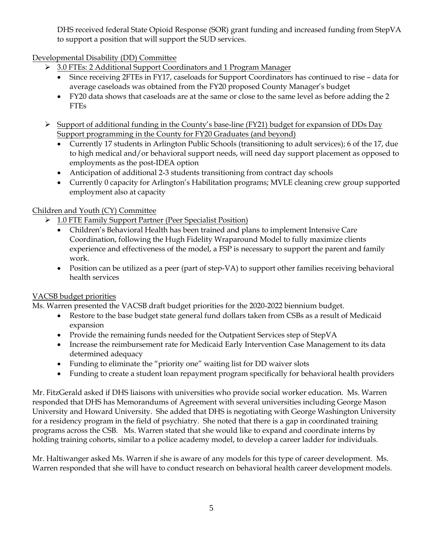DHS received federal State Opioid Response (SOR) grant funding and increased funding from StepVA to support a position that will support the SUD services.

Developmental Disability (DD) Committee

- ➢ 3.0 FTEs: 2 Additional Support Coordinators and 1 Program Manager
	- Since receiving 2FTEs in FY17, caseloads for Support Coordinators has continued to rise data for average caseloads was obtained from the FY20 proposed County Manager's budget
	- FY20 data shows that caseloads are at the same or close to the same level as before adding the 2 FTEs
- ➢ Support of additional funding in the County's base-line (FY21) budget for expansion of DDs Day Support programming in the County for FY20 Graduates (and beyond)
	- Currently 17 students in Arlington Public Schools (transitioning to adult services); 6 of the 17, due to high medical and/or behavioral support needs, will need day support placement as opposed to employments as the post-IDEA option
	- Anticipation of additional 2-3 students transitioning from contract day schools
	- Currently 0 capacity for Arlington's Habilitation programs; MVLE cleaning crew group supported employment also at capacity

### Children and Youth (CY) Committee

- ➢ 1.0 FTE Family Support Partner (Peer Specialist Position)
	- Children's Behavioral Health has been trained and plans to implement Intensive Care Coordination, following the Hugh Fidelity Wraparound Model to fully maximize clients experience and effectiveness of the model, a FSP is necessary to support the parent and family work.
	- Position can be utilized as a peer (part of step-VA) to support other families receiving behavioral health services

### VACSB budget priorities

Ms. Warren presented the VACSB draft budget priorities for the 2020-2022 biennium budget.

- Restore to the base budget state general fund dollars taken from CSBs as a result of Medicaid expansion
- Provide the remaining funds needed for the Outpatient Services step of StepVA
- Increase the reimbursement rate for Medicaid Early Intervention Case Management to its data determined adequacy
- Funding to eliminate the "priority one" waiting list for DD waiver slots
- Funding to create a student loan repayment program specifically for behavioral health providers

Mr. FitzGerald asked if DHS liaisons with universities who provide social worker education. Ms. Warren responded that DHS has Memorandums of Agreement with several universities including George Mason University and Howard University. She added that DHS is negotiating with George Washington University for a residency program in the field of psychiatry. She noted that there is a gap in coordinated training programs across the CSB. Ms. Warren stated that she would like to expand and coordinate interns by holding training cohorts, similar to a police academy model, to develop a career ladder for individuals.

Mr. Haltiwanger asked Ms. Warren if she is aware of any models for this type of career development. Ms. Warren responded that she will have to conduct research on behavioral health career development models.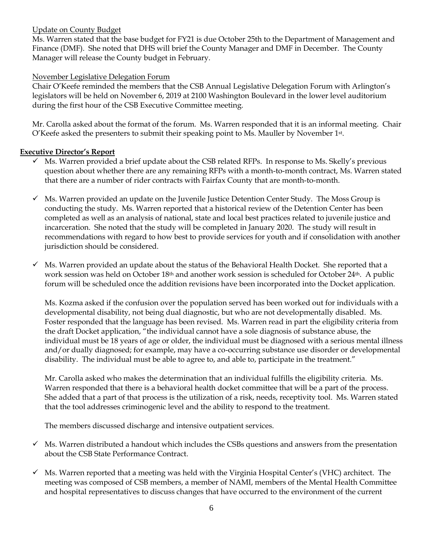### Update on County Budget

Ms. Warren stated that the base budget for FY21 is due October 25th to the Department of Management and Finance (DMF). She noted that DHS will brief the County Manager and DMF in December. The County Manager will release the County budget in February.

### November Legislative Delegation Forum

Chair O'Keefe reminded the members that the CSB Annual Legislative Delegation Forum with Arlington's legislators will be held on November 6, 2019 at 2100 Washington Boulevard in the lower level auditorium during the first hour of the CSB Executive Committee meeting.

Mr. Carolla asked about the format of the forum. Ms. Warren responded that it is an informal meeting. Chair O'Keefe asked the presenters to submit their speaking point to Ms. Mauller by November 1st .

### **Executive Director's Report**

- $\checkmark$  Ms. Warren provided a brief update about the CSB related RFPs. In response to Ms. Skelly's previous question about whether there are any remaining RFPs with a month-to-month contract, Ms. Warren stated that there are a number of rider contracts with Fairfax County that are month-to-month.
- $\checkmark$  Ms. Warren provided an update on the Juvenile Justice Detention Center Study. The Moss Group is conducting the study. Ms. Warren reported that a historical review of the Detention Center has been completed as well as an analysis of national, state and local best practices related to juvenile justice and incarceration. She noted that the study will be completed in January 2020. The study will result in recommendations with regard to how best to provide services for youth and if consolidation with another jurisdiction should be considered.
- $\checkmark$  Ms. Warren provided an update about the status of the Behavioral Health Docket. She reported that a work session was held on October 18th and another work session is scheduled for October 24th. A public forum will be scheduled once the addition revisions have been incorporated into the Docket application.

Ms. Kozma asked if the confusion over the population served has been worked out for individuals with a developmental disability, not being dual diagnostic, but who are not developmentally disabled. Ms. Foster responded that the language has been revised. Ms. Warren read in part the eligibility criteria from the draft Docket application, "the individual cannot have a sole diagnosis of substance abuse, the individual must be 18 years of age or older, the individual must be diagnosed with a serious mental illness and/or dually diagnosed; for example, may have a co-occurring substance use disorder or developmental disability. The individual must be able to agree to, and able to, participate in the treatment."

Mr. Carolla asked who makes the determination that an individual fulfills the eligibility criteria. Ms. Warren responded that there is a behavioral health docket committee that will be a part of the process. She added that a part of that process is the utilization of a risk, needs, receptivity tool. Ms. Warren stated that the tool addresses criminogenic level and the ability to respond to the treatment.

The members discussed discharge and intensive outpatient services.

- $\checkmark$  Ms. Warren distributed a handout which includes the CSBs questions and answers from the presentation about the CSB State Performance Contract.
- $\checkmark$  Ms. Warren reported that a meeting was held with the Virginia Hospital Center's (VHC) architect. The meeting was composed of CSB members, a member of NAMI, members of the Mental Health Committee and hospital representatives to discuss changes that have occurred to the environment of the current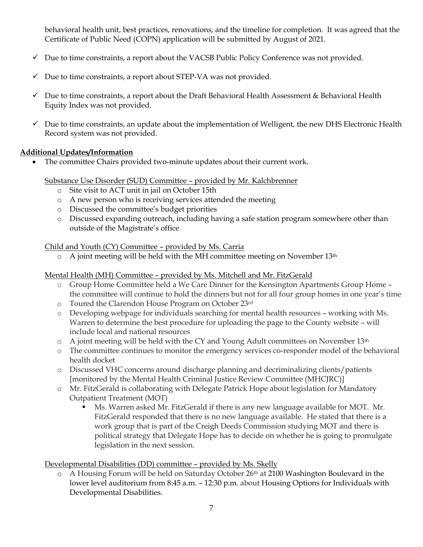behavioral health unit, best practices, renovations, and the timeline for completion. It was agreed that the Certificate of Public Need (COPN) application will be submitted by August of 2021.

- $\checkmark$  Due to time constraints, a report about the VACSB Public Policy Conference was not provided.
- $\checkmark$  Due to time constraints, a report about STEP-VA was not provided.
- $\checkmark$  Due to time constraints, a report about the Draft Behavioral Health Assessment & Behavioral Health Equity Index was not provided.
- $\checkmark$  Due to time constraints, an update about the implementation of Welligent, the new DHS Electronic Health Record system was not provided.

#### **Additional Updates/Information**

• The committee Chairs provided two-minute updates about their current work.

Substance Use Disorder (SUD) Committee – provided by Mr. Kalchbrenner

- o Site visit to ACT unit in jail on October 15th
- o A new person who is receiving services attended the meeting
- o Discussed the committee's budget priorities
- o Discussed expanding outreach, including having a safe station program somewhere other than outside of the Magistrate's office

Child and Youth (CY) Committee – provided by Ms. Carria

o A joint meeting will be held with the MH committee meeting on November 13th

Mental Health (MH) Committee – provided by Ms. Mitchell and Mr. FitzGerald

- o Group Home Committee held a We Care Dinner for the Kensington Apartments Group Home the committee will continue to hold the dinners but not for all four group homes in one year's time
- o Toured the Clarendon House Program on October 23rd
- o Developing webpage for individuals searching for mental health resources working with Ms. Warren to determine the best procedure for uploading the page to the County website – will include local and national resources
- o A joint meeting will be held with the CY and Young Adult committees on November 13th
- o The committee continues to monitor the emergency services co-responder model of the behavioral health docket
- o Discussed VHC concerns around discharge planning and decriminalizing clients/patients [monitored by the Mental Health Criminal Justice Review Committee (MHCJRC)]
- o Mr. FitzGerald is collaborating with Delegate Patrick Hope about legislation for Mandatory Outpatient Treatment (MOT)
	- Ms. Warren asked Mr. FitzGerald if there is any new language available for MOT. Mr. FitzGerald responded that there is no new language available. He stated that there is a work group that is part of the Creigh Deeds Commission studying MOT and there is political strategy that Delegate Hope has to decide on whether he is going to promulgate legislation in the next session.

Developmental Disabilities (DD) committee – provided by Ms. Skelly

o A Housing Forum will be held on Saturday October 26th at 2100 Washington Boulevard in the lower level auditorium from 8:45 a.m. – 12:30 p.m. about Housing Options for Individuals with Developmental Disabilities.